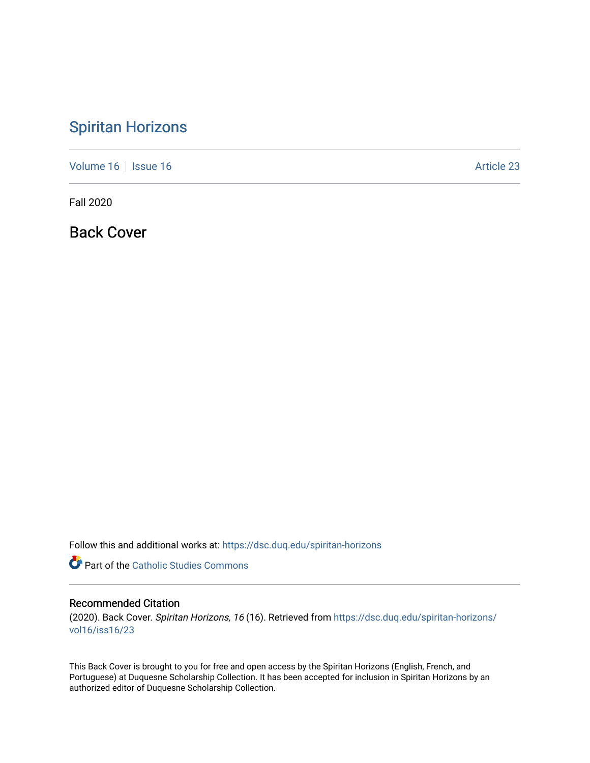## [Spiritan Horizons](https://dsc.duq.edu/spiritan-horizons)

[Volume 16](https://dsc.duq.edu/spiritan-horizons/vol16) | [Issue 16](https://dsc.duq.edu/spiritan-horizons/vol16/iss16) |  $\blacksquare$ 

Fall 2020

Back Cover

Follow this and additional works at: [https://dsc.duq.edu/spiritan-horizons](https://dsc.duq.edu/spiritan-horizons?utm_source=dsc.duq.edu%2Fspiritan-horizons%2Fvol16%2Fiss16%2F23&utm_medium=PDF&utm_campaign=PDFCoverPages)

Part of the [Catholic Studies Commons](http://network.bepress.com/hgg/discipline/1294?utm_source=dsc.duq.edu%2Fspiritan-horizons%2Fvol16%2Fiss16%2F23&utm_medium=PDF&utm_campaign=PDFCoverPages)

## Recommended Citation

(2020). Back Cover. Spiritan Horizons, 16 (16). Retrieved from [https://dsc.duq.edu/spiritan-horizons/](https://dsc.duq.edu/spiritan-horizons/vol16/iss16/23?utm_source=dsc.duq.edu%2Fspiritan-horizons%2Fvol16%2Fiss16%2F23&utm_medium=PDF&utm_campaign=PDFCoverPages) [vol16/iss16/23](https://dsc.duq.edu/spiritan-horizons/vol16/iss16/23?utm_source=dsc.duq.edu%2Fspiritan-horizons%2Fvol16%2Fiss16%2F23&utm_medium=PDF&utm_campaign=PDFCoverPages) 

This Back Cover is brought to you for free and open access by the Spiritan Horizons (English, French, and Portuguese) at Duquesne Scholarship Collection. It has been accepted for inclusion in Spiritan Horizons by an authorized editor of Duquesne Scholarship Collection.